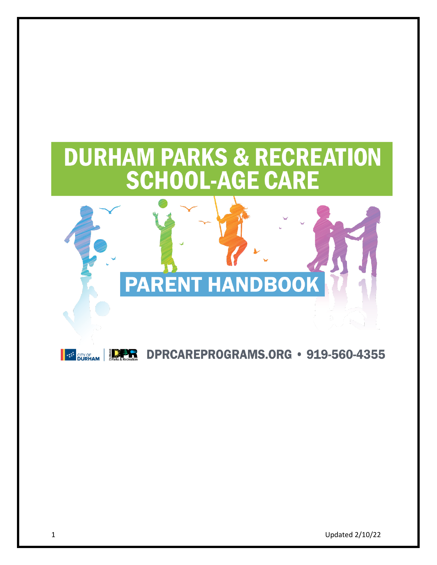# **DURHAM PARKS & RECREATION SCHOOL-AGE CARE**



## **BE SURFAN | THE DERCAREPROGRAMS.ORG · 919-560-4355**

1 Updated 2/10/22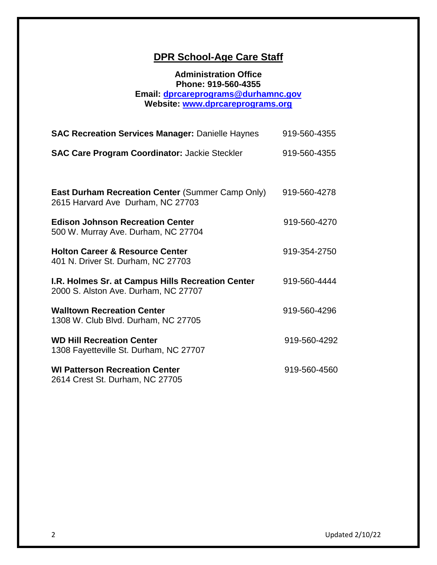### **DPR School-Age Care Staff**

#### **Administration Office Phone: 919-560-4355 Email: [dprcareprograms@durhamnc.gov](mailto:dprcareprograms@durhamnc.gov) Website: [www.dprcareprograms.org](http://www.dprcareprograms.org/)**

| <b>SAC Recreation Services Manager: Danielle Haynes</b>                                   | 919-560-4355 |
|-------------------------------------------------------------------------------------------|--------------|
| <b>SAC Care Program Coordinator: Jackie Steckler</b>                                      | 919-560-4355 |
| East Durham Recreation Center (Summer Camp Only)<br>2615 Harvard Ave Durham, NC 27703     | 919-560-4278 |
| <b>Edison Johnson Recreation Center</b><br>500 W. Murray Ave. Durham, NC 27704            | 919-560-4270 |
| <b>Holton Career &amp; Resource Center</b><br>401 N. Driver St. Durham, NC 27703          | 919-354-2750 |
| I.R. Holmes Sr. at Campus Hills Recreation Center<br>2000 S. Alston Ave. Durham, NC 27707 | 919-560-4444 |
| <b>Walltown Recreation Center</b><br>1308 W. Club Blvd. Durham, NC 27705                  | 919-560-4296 |
| <b>WD Hill Recreation Center</b><br>1308 Fayetteville St. Durham, NC 27707                | 919-560-4292 |
| <b>WI Patterson Recreation Center</b><br>2614 Crest St. Durham, NC 27705                  | 919-560-4560 |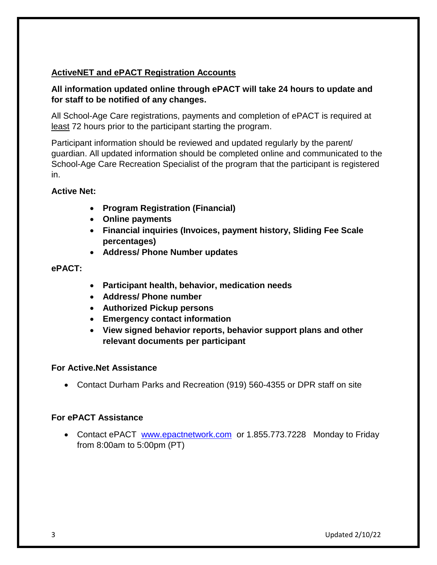#### **ActiveNET and ePACT Registration Accounts**

#### **All information updated online through ePACT will take 24 hours to update and for staff to be notified of any changes.**

All School-Age Care registrations, payments and completion of ePACT is required at least 72 hours prior to the participant starting the program.

Participant information should be reviewed and updated regularly by the parent/ guardian. All updated information should be completed online and communicated to the School-Age Care Recreation Specialist of the program that the participant is registered in.

#### **Active Net:**

- **Program Registration (Financial)**
- **Online payments**
- **Financial inquiries (Invoices, payment history, Sliding Fee Scale percentages)**
- **Address/ Phone Number updates**

#### **ePACT:**

- **Participant health, behavior, medication needs**
- **Address/ Phone number**
- **Authorized Pickup persons**
- **Emergency contact information**
- **View signed behavior reports, behavior support plans and other relevant documents per participant**

#### **For Active.Net Assistance**

Contact Durham Parks and Recreation (919) 560-4355 or DPR staff on site

#### **For ePACT Assistance**

• Contact ePACT [www.epactnetwork.com](http://www.epactnetwork.com/) or 1.855.773.7228 Monday to Friday from 8:00am to 5:00pm (PT)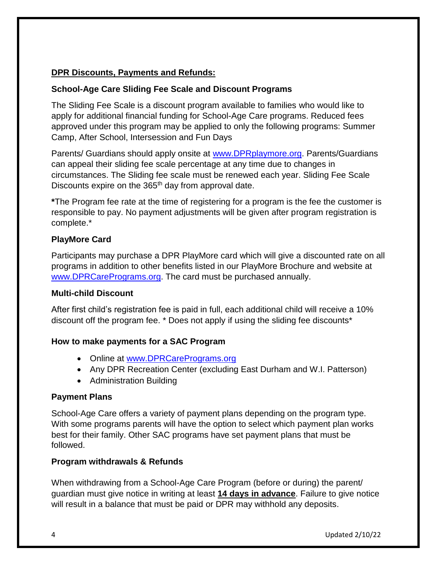#### **DPR Discounts, Payments and Refunds:**

#### **School-Age Care Sliding Fee Scale and Discount Programs**

The Sliding Fee Scale is a discount program available to families who would like to apply for additional financial funding for School-Age Care programs. Reduced fees approved under this program may be applied to only the following programs: Summer Camp, After School, Intersession and Fun Days

Parents/ Guardians should apply onsite at [www.DPRplaymore.org.](http://www.dprplaymore.org/) Parents/Guardians can appeal their sliding fee scale percentage at any time due to changes in circumstances. The Sliding fee scale must be renewed each year. Sliding Fee Scale Discounts expire on the 365<sup>th</sup> day from approval date.

**\***The Program fee rate at the time of registering for a program is the fee the customer is responsible to pay. No payment adjustments will be given after program registration is complete.\*

#### **PlayMore Card**

Participants may purchase a DPR PlayMore card which will give a discounted rate on all programs in addition to other benefits listed in our PlayMore Brochure and website at [www.DPRCarePrograms.org.](http://www.dprcareprograms.org/) The card must be purchased annually.

#### **Multi-child Discount**

After first child's registration fee is paid in full, each additional child will receive a 10% discount off the program fee. \* Does not apply if using the sliding fee discounts\*

#### **How to make payments for a SAC Program**

- Online at [www.DPRCarePrograms.org](http://www.dprcareprograms.org/)
- Any DPR Recreation Center (excluding East Durham and W.I. Patterson)
- Administration Building

#### **Payment Plans**

School-Age Care offers a variety of payment plans depending on the program type. With some programs parents will have the option to select which payment plan works best for their family. Other SAC programs have set payment plans that must be followed.

#### **Program withdrawals & Refunds**

When withdrawing from a School-Age Care Program (before or during) the parent/ guardian must give notice in writing at least **14 days in advance**. Failure to give notice will result in a balance that must be paid or DPR may withhold any deposits.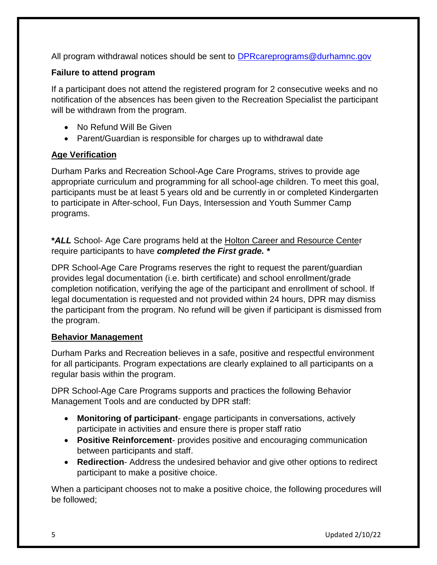All program withdrawal notices should be sent to [DPRcareprograms@durhamnc.gov](mailto:DPRcareprograms@durhamnc.gov)

#### **Failure to attend program**

If a participant does not attend the registered program for 2 consecutive weeks and no notification of the absences has been given to the Recreation Specialist the participant will be withdrawn from the program.

- No Refund Will Be Given
- Parent/Guardian is responsible for charges up to withdrawal date

#### **Age Verification**

Durham Parks and Recreation School-Age Care Programs, strives to provide age appropriate curriculum and programming for all school-age children. To meet this goal, participants must be at least 5 years old and be currently in or completed Kindergarten to participate in After-school, Fun Days, Intersession and Youth Summer Camp programs.

**\****ALL* School- Age Care programs held at the Holton Career and Resource Center require participants to have *completed the First grade. \**

DPR School-Age Care Programs reserves the right to request the parent/guardian provides legal documentation (i.e. birth certificate) and school enrollment/grade completion notification, verifying the age of the participant and enrollment of school. If legal documentation is requested and not provided within 24 hours, DPR may dismiss the participant from the program. No refund will be given if participant is dismissed from the program.

#### **Behavior Management**

Durham Parks and Recreation believes in a safe, positive and respectful environment for all participants. Program expectations are clearly explained to all participants on a regular basis within the program.

DPR School-Age Care Programs supports and practices the following Behavior Management Tools and are conducted by DPR staff:

- **Monitoring of participant** engage participants in conversations, actively participate in activities and ensure there is proper staff ratio
- **Positive Reinforcement** provides positive and encouraging communication between participants and staff.
- **Redirection** Address the undesired behavior and give other options to redirect participant to make a positive choice.

When a participant chooses not to make a positive choice, the following procedures will be followed;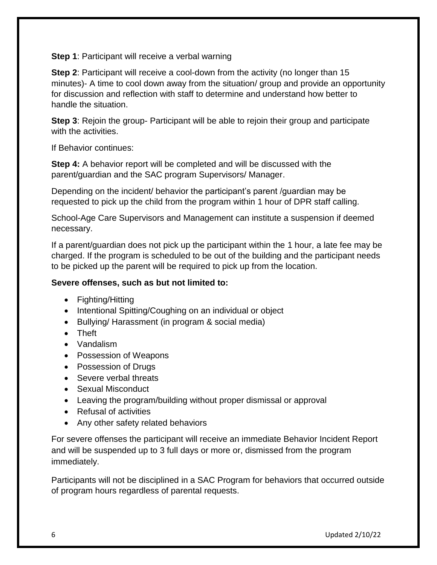**Step 1**: Participant will receive a verbal warning

**Step 2**: Participant will receive a cool-down from the activity (no longer than 15 minutes)- A time to cool down away from the situation/ group and provide an opportunity for discussion and reflection with staff to determine and understand how better to handle the situation.

**Step 3**: Rejoin the group- Participant will be able to rejoin their group and participate with the activities.

If Behavior continues:

**Step 4:** A behavior report will be completed and will be discussed with the parent/guardian and the SAC program Supervisors/ Manager.

Depending on the incident/ behavior the participant's parent /guardian may be requested to pick up the child from the program within 1 hour of DPR staff calling.

School-Age Care Supervisors and Management can institute a suspension if deemed necessary.

If a parent/guardian does not pick up the participant within the 1 hour, a late fee may be charged. If the program is scheduled to be out of the building and the participant needs to be picked up the parent will be required to pick up from the location.

#### **Severe offenses, such as but not limited to:**

- Fighting/Hitting
- Intentional Spitting/Coughing on an individual or object
- Bullying/ Harassment (in program & social media)
- Theft
- Vandalism
- Possession of Weapons
- Possession of Drugs
- Severe verbal threats
- Sexual Misconduct
- Leaving the program/building without proper dismissal or approval
- Refusal of activities
- Any other safety related behaviors

For severe offenses the participant will receive an immediate Behavior Incident Report and will be suspended up to 3 full days or more or, dismissed from the program immediately.

Participants will not be disciplined in a SAC Program for behaviors that occurred outside of program hours regardless of parental requests.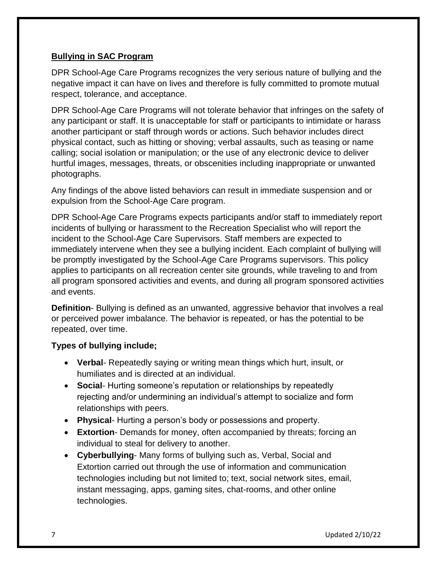#### **Bullying in SAC Program**

DPR School-Age Care Programs recognizes the very serious nature of bullying and the negative impact it can have on lives and therefore is fully committed to promote mutual respect, tolerance, and acceptance.

DPR School-Age Care Programs will not tolerate behavior that infringes on the safety of any participant or staff. It is unacceptable for staff or participants to intimidate or harass another participant or staff through words or actions. Such behavior includes direct physical contact, such as hitting or shoving; verbal assaults, such as teasing or name calling; social isolation or manipulation; or the use of any electronic device to deliver hurtful images, messages, threats, or obscenities including inappropriate or unwanted photographs.

Any findings of the above listed behaviors can result in immediate suspension and or expulsion from the School-Age Care program.

DPR School-Age Care Programs expects participants and/or staff to immediately report incidents of bullying or harassment to the Recreation Specialist who will report the incident to the School-Age Care Supervisors. Staff members are expected to immediately intervene when they see a bullying incident. Each complaint of bullying will be promptly investigated by the School-Age Care Programs supervisors. This policy applies to participants on all recreation center site grounds, while traveling to and from all program sponsored activities and events, and during all program sponsored activities and events.

**Definition**- Bullying is defined as an unwanted, aggressive behavior that involves a real or perceived power imbalance. The behavior is repeated, or has the potential to be repeated, over time.

#### **Types of bullying include;**

- **Verbal** Repeatedly saying or writing mean things which hurt, insult, or humiliates and is directed at an individual.
- **Social** Hurting someone's reputation or relationships by repeatedly rejecting and/or undermining an individual's attempt to socialize and form relationships with peers.
- **Physical** Hurting a person's body or possessions and property.
- **Extortion** Demands for money, often accompanied by threats; forcing an individual to steal for delivery to another.
- **Cyberbullying** Many forms of bullying such as, Verbal, Social and Extortion carried out through the use of information and communication technologies including but not limited to; text, social network sites, email, instant messaging, apps, gaming sites, chat-rooms, and other online technologies.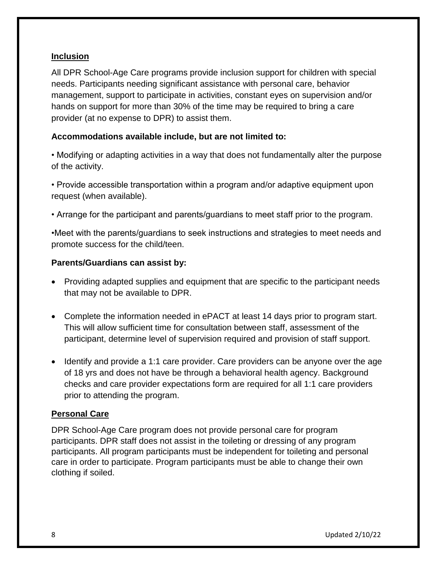#### **Inclusion**

All DPR School-Age Care programs provide inclusion support for children with special needs. Participants needing significant assistance with personal care, behavior management, support to participate in activities, constant eyes on supervision and/or hands on support for more than 30% of the time may be required to bring a care provider (at no expense to DPR) to assist them.

#### **Accommodations available include, but are not limited to:**

• Modifying or adapting activities in a way that does not fundamentally alter the purpose of the activity.

• Provide accessible transportation within a program and/or adaptive equipment upon request (when available).

• Arrange for the participant and parents/guardians to meet staff prior to the program.

•Meet with the parents/guardians to seek instructions and strategies to meet needs and promote success for the child/teen.

#### **Parents/Guardians can assist by:**

- Providing adapted supplies and equipment that are specific to the participant needs that may not be available to DPR.
- Complete the information needed in ePACT at least 14 days prior to program start. This will allow sufficient time for consultation between staff, assessment of the participant, determine level of supervision required and provision of staff support.
- Identify and provide a 1:1 care provider. Care providers can be anyone over the age of 18 yrs and does not have be through a behavioral health agency. Background checks and care provider expectations form are required for all 1:1 care providers prior to attending the program.

#### **Personal Care**

DPR School-Age Care program does not provide personal care for program participants. DPR staff does not assist in the toileting or dressing of any program participants. All program participants must be independent for toileting and personal care in order to participate. Program participants must be able to change their own clothing if soiled.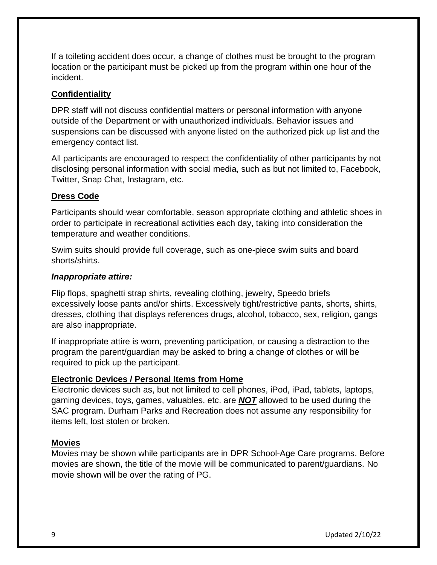If a toileting accident does occur, a change of clothes must be brought to the program location or the participant must be picked up from the program within one hour of the incident.

#### **Confidentiality**

DPR staff will not discuss confidential matters or personal information with anyone outside of the Department or with unauthorized individuals. Behavior issues and suspensions can be discussed with anyone listed on the authorized pick up list and the emergency contact list.

All participants are encouraged to respect the confidentiality of other participants by not disclosing personal information with social media, such as but not limited to, Facebook, Twitter, Snap Chat, Instagram, etc.

#### **Dress Code**

Participants should wear comfortable, season appropriate clothing and athletic shoes in order to participate in recreational activities each day, taking into consideration the temperature and weather conditions.

Swim suits should provide full coverage, such as one-piece swim suits and board shorts/shirts.

#### *Inappropriate attire:*

Flip flops, spaghetti strap shirts, revealing clothing, jewelry, Speedo briefs excessively loose pants and/or shirts. Excessively tight/restrictive pants, shorts, shirts, dresses, clothing that displays references drugs, alcohol, tobacco, sex, religion, gangs are also inappropriate.

If inappropriate attire is worn, preventing participation, or causing a distraction to the program the parent/guardian may be asked to bring a change of clothes or will be required to pick up the participant.

#### **Electronic Devices / Personal Items from Home**

Electronic devices such as, but not limited to cell phones, iPod, iPad, tablets, laptops, gaming devices, toys, games, valuables, etc. are *NOT* allowed to be used during the SAC program. Durham Parks and Recreation does not assume any responsibility for items left, lost stolen or broken.

#### **Movies**

Movies may be shown while participants are in DPR School-Age Care programs. Before movies are shown, the title of the movie will be communicated to parent/guardians. No movie shown will be over the rating of PG.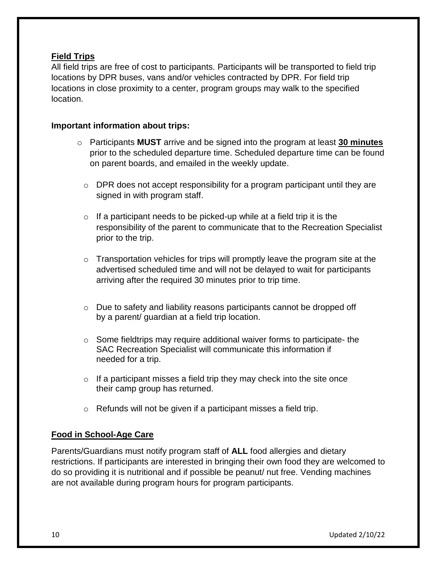#### **Field Trips**

All field trips are free of cost to participants. Participants will be transported to field trip locations by DPR buses, vans and/or vehicles contracted by DPR. For field trip locations in close proximity to a center, program groups may walk to the specified location.

#### **Important information about trips:**

- o Participants **MUST** arrive and be signed into the program at least **30 minutes** prior to the scheduled departure time. Scheduled departure time can be found on parent boards, and emailed in the weekly update.
	- $\circ$  DPR does not accept responsibility for a program participant until they are signed in with program staff.
	- $\circ$  If a participant needs to be picked-up while at a field trip it is the responsibility of the parent to communicate that to the Recreation Specialist prior to the trip.
	- $\circ$  Transportation vehicles for trips will promptly leave the program site at the advertised scheduled time and will not be delayed to wait for participants arriving after the required 30 minutes prior to trip time.
	- o Due to safety and liability reasons participants cannot be dropped off by a parent/ guardian at a field trip location.
	- $\circ$  Some fieldtrips may require additional waiver forms to participate- the SAC Recreation Specialist will communicate this information if needed for a trip.
	- $\circ$  If a participant misses a field trip they may check into the site once their camp group has returned.
	- $\circ$  Refunds will not be given if a participant misses a field trip.

#### **Food in School-Age Care**

Parents/Guardians must notify program staff of **ALL** food allergies and dietary restrictions. If participants are interested in bringing their own food they are welcomed to do so providing it is nutritional and if possible be peanut/ nut free. Vending machines are not available during program hours for program participants.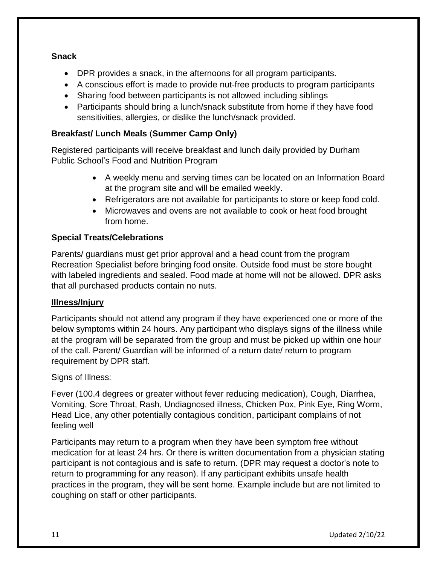#### **Snack**

- DPR provides a snack, in the afternoons for all program participants.
- A conscious effort is made to provide nut-free products to program participants
- Sharing food between participants is not allowed including siblings
- Participants should bring a lunch/snack substitute from home if they have food sensitivities, allergies, or dislike the lunch/snack provided.

#### **Breakfast/ Lunch Meals** (**Summer Camp Only)**

Registered participants will receive breakfast and lunch daily provided by Durham Public School's Food and Nutrition Program

- A weekly menu and serving times can be located on an Information Board at the program site and will be emailed weekly.
- Refrigerators are not available for participants to store or keep food cold.
- Microwaves and ovens are not available to cook or heat food brought from home.

#### **Special Treats/Celebrations**

Parents/ guardians must get prior approval and a head count from the program Recreation Specialist before bringing food onsite. Outside food must be store bought with labeled ingredients and sealed. Food made at home will not be allowed. DPR asks that all purchased products contain no nuts.

#### **Illness/Injury**

Participants should not attend any program if they have experienced one or more of the below symptoms within 24 hours. Any participant who displays signs of the illness while at the program will be separated from the group and must be picked up within one hour of the call. Parent/ Guardian will be informed of a return date/ return to program requirement by DPR staff.

#### Signs of Illness:

Fever (100.4 degrees or greater without fever reducing medication), Cough, Diarrhea, Vomiting, Sore Throat, Rash, Undiagnosed illness, Chicken Pox, Pink Eye, Ring Worm, Head Lice, any other potentially contagious condition, participant complains of not feeling well

Participants may return to a program when they have been symptom free without medication for at least 24 hrs. Or there is written documentation from a physician stating participant is not contagious and is safe to return. (DPR may request a doctor's note to return to programming for any reason). If any participant exhibits unsafe health practices in the program, they will be sent home. Example include but are not limited to coughing on staff or other participants.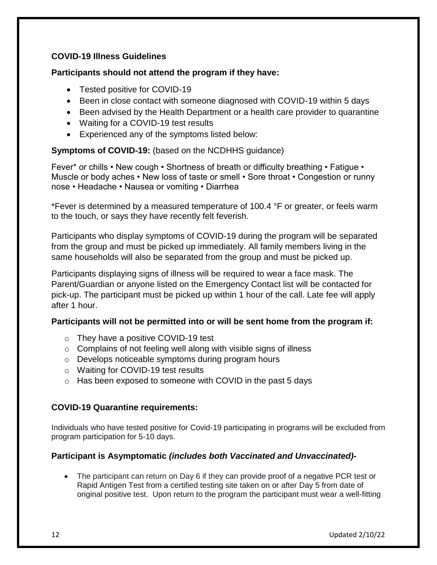#### **COVID-19 Illness Guidelines**

#### **Participants should not attend the program if they have:**

- Tested positive for COVID-19
- Been in close contact with someone diagnosed with COVID-19 within 5 days
- Been advised by the Health Department or a health care provider to quarantine
- Waiting for a COVID-19 test results
- Experienced any of the symptoms listed below:

**Symptoms of COVID-19:** (based on the NCDHHS guidance)

Fever\* or chills • New cough • Shortness of breath or difficulty breathing • Fatigue • Muscle or body aches • New loss of taste or smell • Sore throat • Congestion or runny nose • Headache • Nausea or vomiting • Diarrhea

\*Fever is determined by a measured temperature of 100.4 °F or greater, or feels warm to the touch, or says they have recently felt feverish.

Participants who display symptoms of COVID-19 during the program will be separated from the group and must be picked up immediately. All family members living in the same households will also be separated from the group and must be picked up.

Participants displaying signs of illness will be required to wear a face mask. The Parent/Guardian or anyone listed on the Emergency Contact list will be contacted for pick-up. The participant must be picked up within 1 hour of the call. Late fee will apply after 1 hour.

#### **Participants will not be permitted into or will be sent home from the program if:**

- o They have a positive COVID-19 test
- $\circ$  Complains of not feeling well along with visible signs of illness
- o Develops noticeable symptoms during program hours
- o Waiting for COVID-19 test results
- o Has been exposed to someone with COVID in the past 5 days

#### **COVID-19 Quarantine requirements:**

Individuals who have tested positive for Covid-19 participating in programs will be excluded from program participation for 5-10 days.

#### **Participant is Asymptomatic** *(includes both Vaccinated and Unvaccinated)-*

• The participant can return on Day 6 if they can provide proof of a negative PCR test or Rapid Antigen Test from a certified testing site taken on or after Day 5 from date of original positive test. Upon return to the program the participant must wear a well-fitting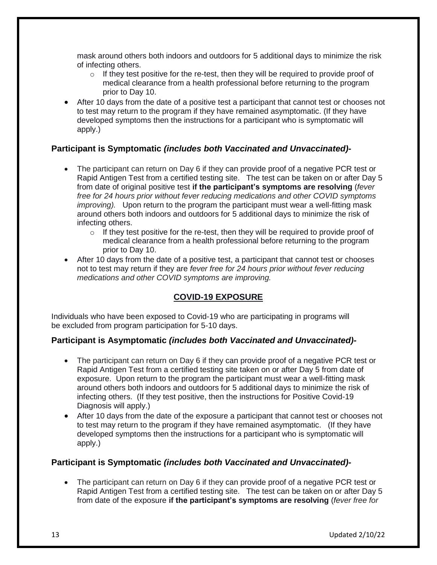mask around others both indoors and outdoors for 5 additional days to minimize the risk of infecting others.

- $\circ$  If they test positive for the re-test, then they will be required to provide proof of medical clearance from a health professional before returning to the program prior to Day 10.
- After 10 days from the date of a positive test a participant that cannot test or chooses not to test may return to the program if they have remained asymptomatic. (If they have developed symptoms then the instructions for a participant who is symptomatic will apply.)

#### **Participant is Symptomatic** *(includes both Vaccinated and Unvaccinated)-*

- The participant can return on Day 6 if they can provide proof of a negative PCR test or Rapid Antigen Test from a certified testing site. The test can be taken on or after Day 5 from date of original positive test **if the participant's symptoms are resolving** (*fever free for 24 hours prior without fever reducing medications and other COVID symptoms improving*). Upon return to the program the participant must wear a well-fitting mask around others both indoors and outdoors for 5 additional days to minimize the risk of infecting others.
	- $\circ$  If they test positive for the re-test, then they will be required to provide proof of medical clearance from a health professional before returning to the program prior to Day 10.
- After 10 days from the date of a positive test, a participant that cannot test or chooses not to test may return if they are *fever free for 24 hours prior without fever reducing medications and other COVID symptoms are improving.*

#### **COVID-19 EXPOSURE**

Individuals who have been exposed to Covid-19 who are participating in programs will be excluded from program participation for 5-10 days.

#### **Participant is Asymptomatic** *(includes both Vaccinated and Unvaccinated)-*

- The participant can return on Day 6 if they can provide proof of a negative PCR test or Rapid Antigen Test from a certified testing site taken on or after Day 5 from date of exposure. Upon return to the program the participant must wear a well-fitting mask around others both indoors and outdoors for 5 additional days to minimize the risk of infecting others. (If they test positive, then the instructions for Positive Covid-19 Diagnosis will apply.)
- After 10 days from the date of the exposure a participant that cannot test or chooses not to test may return to the program if they have remained asymptomatic. (If they have developed symptoms then the instructions for a participant who is symptomatic will apply.)

#### **Participant is Symptomatic** *(includes both Vaccinated and Unvaccinated)-*

 The participant can return on Day 6 if they can provide proof of a negative PCR test or Rapid Antigen Test from a certified testing site. The test can be taken on or after Day 5 from date of the exposure **if the participant's symptoms are resolving** (*fever free for*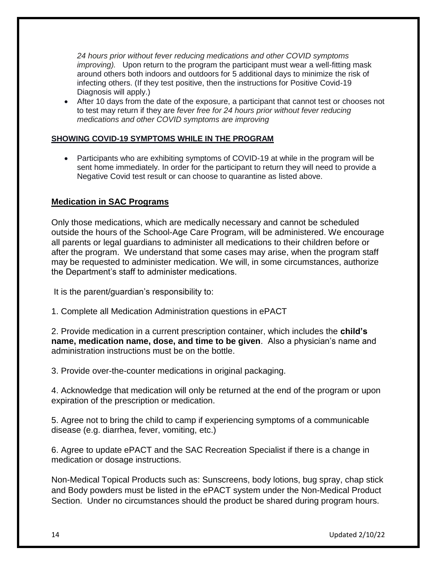*24 hours prior without fever reducing medications and other COVID symptoms improving*). Upon return to the program the participant must wear a well-fitting mask around others both indoors and outdoors for 5 additional days to minimize the risk of infecting others. (If they test positive, then the instructions for Positive Covid-19 Diagnosis will apply.)

 After 10 days from the date of the exposure, a participant that cannot test or chooses not to test may return if they are *fever free for 24 hours prior without fever reducing medications and other COVID symptoms are improving*

#### **SHOWING COVID-19 SYMPTOMS WHILE IN THE PROGRAM**

• Participants who are exhibiting symptoms of COVID-19 at while in the program will be sent home immediately. In order for the participant to return they will need to provide a Negative Covid test result or can choose to quarantine as listed above.

#### **Medication in SAC Programs**

Only those medications, which are medically necessary and cannot be scheduled outside the hours of the School-Age Care Program, will be administered. We encourage all parents or legal guardians to administer all medications to their children before or after the program. We understand that some cases may arise, when the program staff may be requested to administer medication. We will, in some circumstances, authorize the Department's staff to administer medications.

It is the parent/guardian's responsibility to:

1. Complete all Medication Administration questions in ePACT

2. Provide medication in a current prescription container, which includes the **child's name, medication name, dose, and time to be given**. Also a physician's name and administration instructions must be on the bottle.

3. Provide over-the-counter medications in original packaging.

4. Acknowledge that medication will only be returned at the end of the program or upon expiration of the prescription or medication.

5. Agree not to bring the child to camp if experiencing symptoms of a communicable disease (e.g. diarrhea, fever, vomiting, etc.)

6. Agree to update ePACT and the SAC Recreation Specialist if there is a change in medication or dosage instructions.

Non-Medical Topical Products such as: Sunscreens, body lotions, bug spray, chap stick and Body powders must be listed in the ePACT system under the Non-Medical Product Section. Under no circumstances should the product be shared during program hours.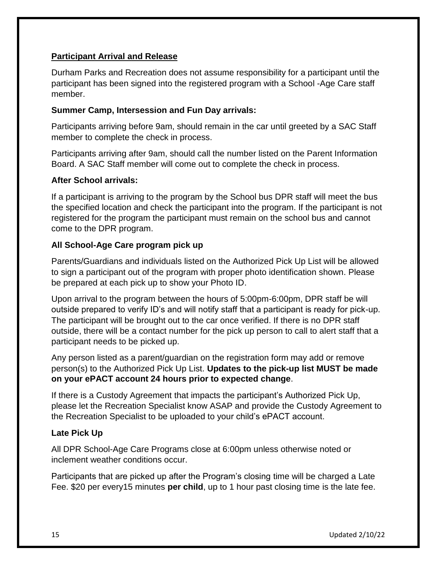#### **Participant Arrival and Release**

Durham Parks and Recreation does not assume responsibility for a participant until the participant has been signed into the registered program with a School -Age Care staff member.

#### **Summer Camp, Intersession and Fun Day arrivals:**

Participants arriving before 9am, should remain in the car until greeted by a SAC Staff member to complete the check in process.

Participants arriving after 9am, should call the number listed on the Parent Information Board. A SAC Staff member will come out to complete the check in process.

#### **After School arrivals:**

If a participant is arriving to the program by the School bus DPR staff will meet the bus the specified location and check the participant into the program. If the participant is not registered for the program the participant must remain on the school bus and cannot come to the DPR program.

#### **All School-Age Care program pick up**

Parents/Guardians and individuals listed on the Authorized Pick Up List will be allowed to sign a participant out of the program with proper photo identification shown. Please be prepared at each pick up to show your Photo ID.

Upon arrival to the program between the hours of 5:00pm-6:00pm, DPR staff be will outside prepared to verify ID's and will notify staff that a participant is ready for pick-up. The participant will be brought out to the car once verified. If there is no DPR staff outside, there will be a contact number for the pick up person to call to alert staff that a participant needs to be picked up.

Any person listed as a parent/guardian on the registration form may add or remove person(s) to the Authorized Pick Up List. **Updates to the pick-up list MUST be made on your ePACT account 24 hours prior to expected change**.

If there is a Custody Agreement that impacts the participant's Authorized Pick Up, please let the Recreation Specialist know ASAP and provide the Custody Agreement to the Recreation Specialist to be uploaded to your child's ePACT account.

#### **Late Pick Up**

All DPR School-Age Care Programs close at 6:00pm unless otherwise noted or inclement weather conditions occur.

Participants that are picked up after the Program's closing time will be charged a Late Fee. \$20 per every15 minutes **per child**, up to 1 hour past closing time is the late fee.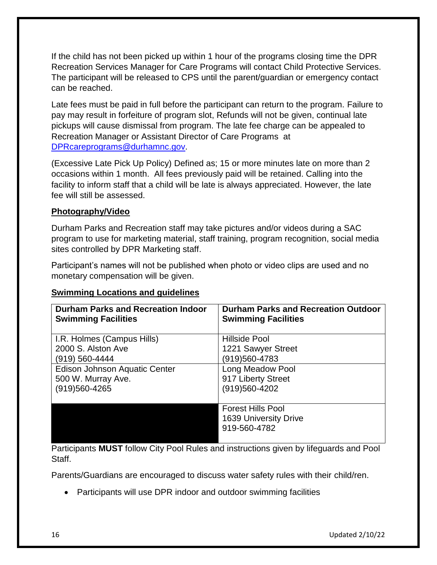If the child has not been picked up within 1 hour of the programs closing time the DPR Recreation Services Manager for Care Programs will contact Child Protective Services. The participant will be released to CPS until the parent/guardian or emergency contact can be reached.

Late fees must be paid in full before the participant can return to the program. Failure to pay may result in forfeiture of program slot, Refunds will not be given, continual late pickups will cause dismissal from program. The late fee charge can be appealed to Recreation Manager or Assistant Director of Care Programs at [DPRcareprograms@durhamnc.gov.](mailto:DPRcareprograms@durhamnc.gov)

(Excessive Late Pick Up Policy) Defined as; 15 or more minutes late on more than 2 occasions within 1 month. All fees previously paid will be retained. Calling into the facility to inform staff that a child will be late is always appreciated. However, the late fee will still be assessed.

#### **Photography/Video**

Durham Parks and Recreation staff may take pictures and/or videos during a SAC program to use for marketing material, staff training, program recognition, social media sites controlled by DPR Marketing staff.

Participant's names will not be published when photo or video clips are used and no monetary compensation will be given.

#### **Swimming Locations and guidelines**

| Durham Parks and Recreation Indoor<br><b>Swimming Facilities</b> | <b>Durham Parks and Recreation Outdoor</b><br><b>Swimming Facilities</b> |
|------------------------------------------------------------------|--------------------------------------------------------------------------|
| I.R. Holmes (Campus Hills)                                       | <b>Hillside Pool</b>                                                     |
| 2000 S. Alston Ave                                               | 1221 Sawyer Street                                                       |
| $(919) 560 - 4444$                                               | (919)560-4783                                                            |
| Edison Johnson Aquatic Center                                    | Long Meadow Pool                                                         |
| 500 W. Murray Ave.                                               | 917 Liberty Street                                                       |
| $(919)560 - 4265$                                                | (919)560-4202                                                            |
|                                                                  |                                                                          |
|                                                                  | <b>Forest Hills Pool</b>                                                 |
|                                                                  | 1639 University Drive                                                    |
|                                                                  | 919-560-4782                                                             |
|                                                                  |                                                                          |

Participants **MUST** follow City Pool Rules and instructions given by lifeguards and Pool Staff.

Parents/Guardians are encouraged to discuss water safety rules with their child/ren.

Participants will use DPR indoor and outdoor swimming facilities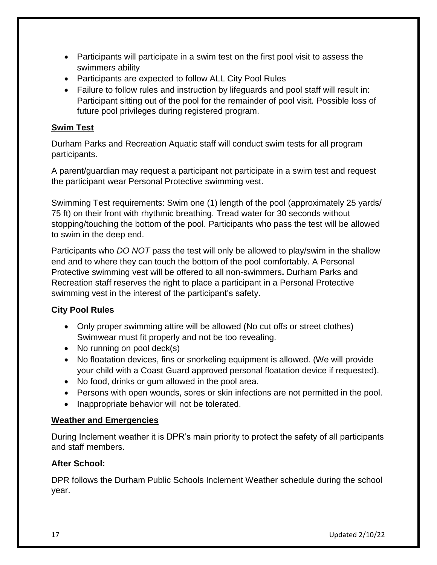- Participants will participate in a swim test on the first pool visit to assess the swimmers ability
- Participants are expected to follow ALL City Pool Rules
- Failure to follow rules and instruction by lifeguards and pool staff will result in: Participant sitting out of the pool for the remainder of pool visit. Possible loss of future pool privileges during registered program.

#### **Swim Test**

Durham Parks and Recreation Aquatic staff will conduct swim tests for all program participants.

A parent/guardian may request a participant not participate in a swim test and request the participant wear Personal Protective swimming vest.

Swimming Test requirements: Swim one (1) length of the pool (approximately 25 yards/ 75 ft) on their front with rhythmic breathing. Tread water for 30 seconds without stopping/touching the bottom of the pool. Participants who pass the test will be allowed to swim in the deep end.

Participants who *DO NOT* pass the test will only be allowed to play/swim in the shallow end and to where they can touch the bottom of the pool comfortably. A Personal Protective swimming vest will be offered to all non-swimmers**.** Durham Parks and Recreation staff reserves the right to place a participant in a Personal Protective swimming vest in the interest of the participant's safety.

#### **City Pool Rules**

- Only proper swimming attire will be allowed (No cut offs or street clothes) Swimwear must fit properly and not be too revealing.
- No running on pool deck(s)
- No floatation devices, fins or snorkeling equipment is allowed. (We will provide your child with a Coast Guard approved personal floatation device if requested).
- No food, drinks or gum allowed in the pool area.
- Persons with open wounds, sores or skin infections are not permitted in the pool.
- Inappropriate behavior will not be tolerated.

#### **Weather and Emergencies**

During Inclement weather it is DPR's main priority to protect the safety of all participants and staff members.

#### **After School:**

DPR follows the Durham Public Schools Inclement Weather schedule during the school year.